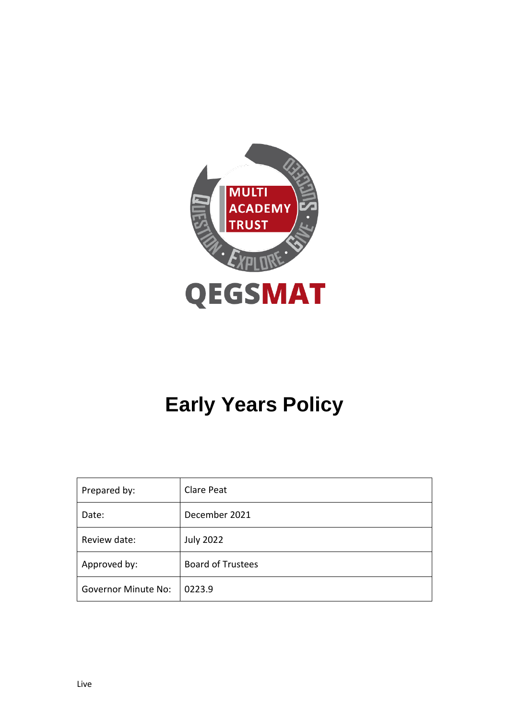

# **Early Years Policy**

| Prepared by:               | Clare Peat               |
|----------------------------|--------------------------|
| Date:                      | December 2021            |
| Review date:               | <b>July 2022</b>         |
| Approved by:               | <b>Board of Trustees</b> |
| <b>Governor Minute No:</b> | 0223.9                   |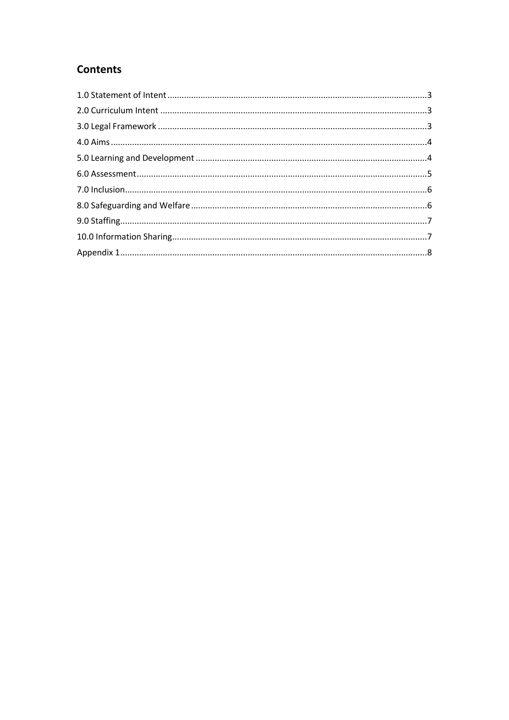# **Contents**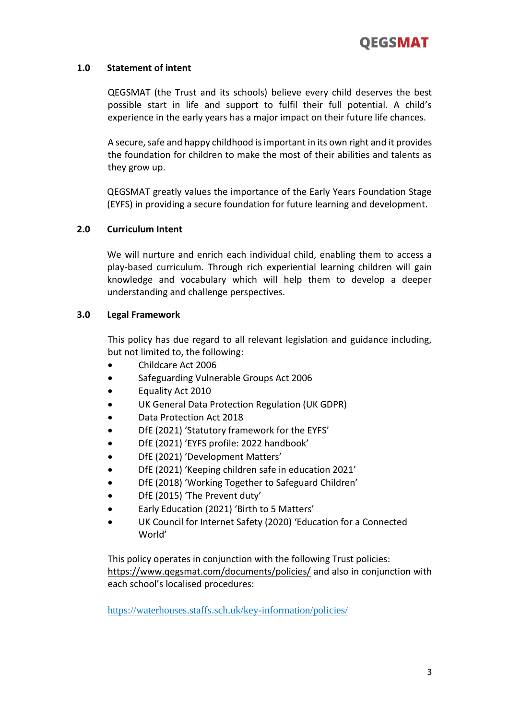# **1.0 Statement of intent**

QEGSMAT (the Trust and its schools) believe every child deserves the best possible start in life and support to fulfil their full potential. A child's experience in the early years has a major impact on their future life chances.

A secure, safe and happy childhood is important in its own right and it provides the foundation for children to make the most of their abilities and talents as they grow up.

QEGSMAT greatly values the importance of the Early Years Foundation Stage (EYFS) in providing a secure foundation for future learning and development.

# **2.0 Curriculum Intent**

We will nurture and enrich each individual child, enabling them to access a play-based curriculum. Through rich experiential learning children will gain knowledge and vocabulary which will help them to develop a deeper understanding and challenge perspectives.

# **3.0 Legal Framework**

This policy has due regard to all relevant legislation and guidance including, but not limited to, the following:

- Childcare Act 2006
- Safeguarding Vulnerable Groups Act 2006
- Equality Act 2010
- UK General Data Protection Regulation (UK GDPR)
- Data Protection Act 2018
- DfE (2021) 'Statutory framework for the EYFS'
- DfE (2021) 'EYFS profile: 2022 handbook'
- DfE (2021) 'Development Matters'
- DfE (2021) 'Keeping children safe in education 2021'
- DfE (2018) 'Working Together to Safeguard Children'
- DfE (2015) 'The Prevent duty'
- Early Education (2021) 'Birth to 5 Matters'
- UK Council for Internet Safety (2020) 'Education for a Connected World'

This policy operates in conjunction with the following Trust policies: <https://www.qegsmat.com/documents/policies/> and also in conjunction with each school's localised procedures:

<https://waterhouses.staffs.sch.uk/key-information/policies/>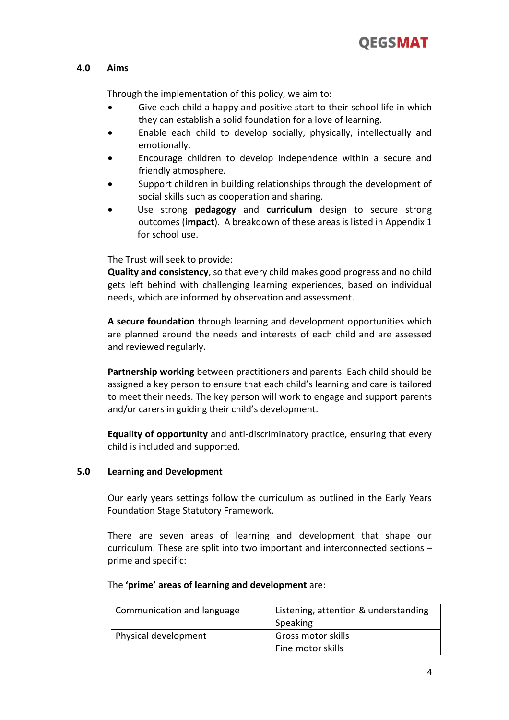

# **4.0 Aims**

Through the implementation of this policy, we aim to:

- Give each child a happy and positive start to their school life in which they can establish a solid foundation for a love of learning.
- Enable each child to develop socially, physically, intellectually and emotionally.
- Encourage children to develop independence within a secure and friendly atmosphere.
- Support children in building relationships through the development of social skills such as cooperation and sharing.
- Use strong **pedagogy** and **curriculum** design to secure strong outcomes (**impact**). A breakdown of these areas is listed in Appendix 1 for school use.

The Trust will seek to provide:

**Quality and consistency**, so that every child makes good progress and no child gets left behind with challenging learning experiences, based on individual needs, which are informed by observation and assessment.

**A secure foundation** through learning and development opportunities which are planned around the needs and interests of each child and are assessed and reviewed regularly.

**Partnership working** between practitioners and parents. Each child should be assigned a key person to ensure that each child's learning and care is tailored to meet their needs. The key person will work to engage and support parents and/or carers in guiding their child's development.

**Equality of opportunity** and anti-discriminatory practice, ensuring that every child is included and supported.

## **5.0 Learning and Development**

Our early years settings follow the curriculum as outlined in the Early Years Foundation Stage Statutory Framework.

There are seven areas of learning and development that shape our curriculum. These are split into two important and interconnected sections – prime and specific:

| Communication and language | Listening, attention & understanding<br>Speaking |
|----------------------------|--------------------------------------------------|
| Physical development       | Gross motor skills                               |
|                            | Fine motor skills                                |

## The **'prime' areas of learning and development** are: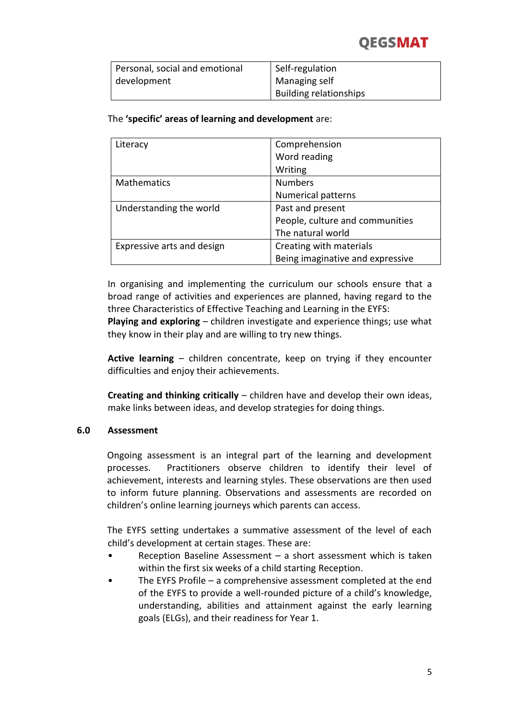# **OEGSMAT**

| Personal, social and emotional | Self-regulation               |
|--------------------------------|-------------------------------|
| development                    | Managing self                 |
|                                | <b>Building relationships</b> |

# The **'specific' areas of learning and development** are:

| Literacy                   | Comprehension                    |
|----------------------------|----------------------------------|
|                            | Word reading                     |
|                            | Writing                          |
| <b>Mathematics</b>         | <b>Numbers</b>                   |
|                            | <b>Numerical patterns</b>        |
| Understanding the world    | Past and present                 |
|                            | People, culture and communities  |
|                            | The natural world                |
| Expressive arts and design | Creating with materials          |
|                            | Being imaginative and expressive |

In organising and implementing the curriculum our schools ensure that a broad range of activities and experiences are planned, having regard to the three Characteristics of Effective Teaching and Learning in the EYFS:

**Playing and exploring** – children investigate and experience things; use what they know in their play and are willing to try new things.

**Active learning** – children concentrate, keep on trying if they encounter difficulties and enjoy their achievements.

**Creating and thinking critically** – children have and develop their own ideas, make links between ideas, and develop strategies for doing things.

## **6.0 Assessment**

Ongoing assessment is an integral part of the learning and development processes. Practitioners observe children to identify their level of achievement, interests and learning styles. These observations are then used to inform future planning. Observations and assessments are recorded on children's online learning journeys which parents can access.

The EYFS setting undertakes a summative assessment of the level of each child's development at certain stages. These are:

- Reception Baseline Assessment  $-$  a short assessment which is taken within the first six weeks of a child starting Reception.
- The EYFS Profile a comprehensive assessment completed at the end of the EYFS to provide a well-rounded picture of a child's knowledge, understanding, abilities and attainment against the early learning goals (ELGs), and their readiness for Year 1.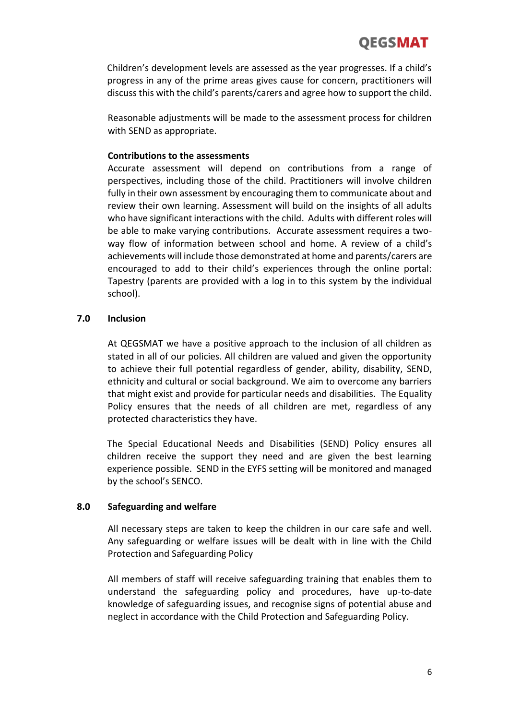Children's development levels are assessed as the year progresses. If a child's progress in any of the prime areas gives cause for concern, practitioners will discuss this with the child's parents/carers and agree how to support the child.

Reasonable adjustments will be made to the assessment process for children with SEND as appropriate.

# **Contributions to the assessments**

Accurate assessment will depend on contributions from a range of perspectives, including those of the child. Practitioners will involve children fully in their own assessment by encouraging them to communicate about and review their own learning. Assessment will build on the insights of all adults who have significant interactions with the child. Adults with different roles will be able to make varying contributions. Accurate assessment requires a twoway flow of information between school and home. A review of a child's achievements will include those demonstrated at home and parents/carers are encouraged to add to their child's experiences through the online portal: Tapestry (parents are provided with a log in to this system by the individual school).

## **7.0 Inclusion**

At QEGSMAT we have a positive approach to the inclusion of all children as stated in all of our policies. All children are valued and given the opportunity to achieve their full potential regardless of gender, ability, disability, SEND, ethnicity and cultural or social background. We aim to overcome any barriers that might exist and provide for particular needs and disabilities. The Equality Policy ensures that the needs of all children are met, regardless of any protected characteristics they have.

The Special Educational Needs and Disabilities (SEND) Policy ensures all children receive the support they need and are given the best learning experience possible. SEND in the EYFS setting will be monitored and managed by the school's SENCO.

# **8.0 Safeguarding and welfare**

All necessary steps are taken to keep the children in our care safe and well. Any safeguarding or welfare issues will be dealt with in line with the Child Protection and Safeguarding Policy

All members of staff will receive safeguarding training that enables them to understand the safeguarding policy and procedures, have up-to-date knowledge of safeguarding issues, and recognise signs of potential abuse and neglect in accordance with the Child Protection and Safeguarding Policy.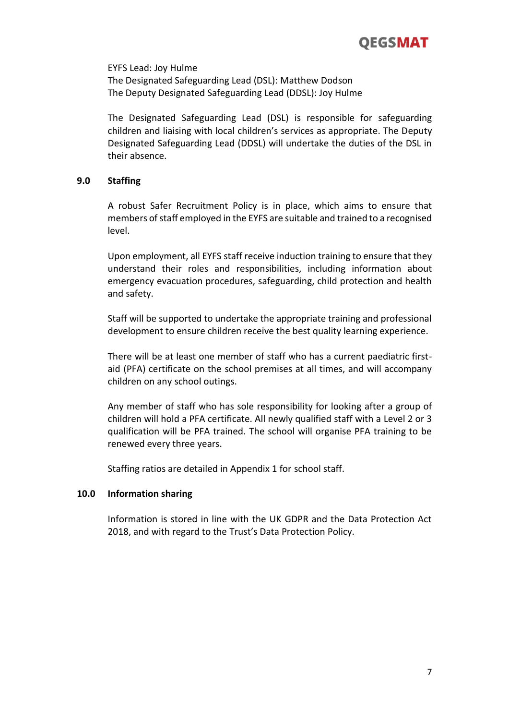

EYFS Lead: Joy Hulme The Designated Safeguarding Lead (DSL): Matthew Dodson The Deputy Designated Safeguarding Lead (DDSL): Joy Hulme

The Designated Safeguarding Lead (DSL) is responsible for safeguarding children and liaising with local children's services as appropriate. The Deputy Designated Safeguarding Lead (DDSL) will undertake the duties of the DSL in their absence.

#### **9.0 Staffing**

A robust Safer Recruitment Policy is in place, which aims to ensure that members of staff employed in the EYFS are suitable and trained to a recognised level.

Upon employment, all EYFS staff receive induction training to ensure that they understand their roles and responsibilities, including information about emergency evacuation procedures, safeguarding, child protection and health and safety.

Staff will be supported to undertake the appropriate training and professional development to ensure children receive the best quality learning experience.

There will be at least one member of staff who has a current paediatric firstaid (PFA) certificate on the school premises at all times, and will accompany children on any school outings.

Any member of staff who has sole responsibility for looking after a group of children will hold a PFA certificate. All newly qualified staff with a Level 2 or 3 qualification will be PFA trained. The school will organise PFA training to be renewed every three years.

Staffing ratios are detailed in Appendix 1 for school staff.

#### **10.0 Information sharing**

Information is stored in line with the UK GDPR and the Data Protection Act 2018, and with regard to the Trust's Data Protection Policy.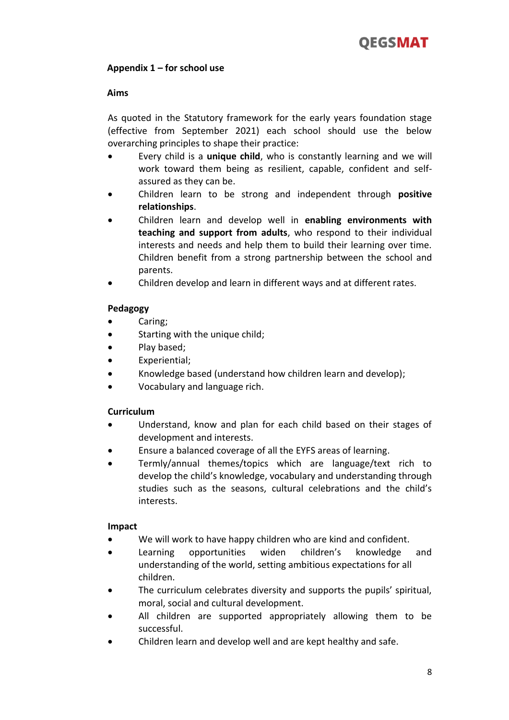# **Appendix 1 – for school use**

#### **Aims**

As quoted in the Statutory framework for the early years foundation stage (effective from September 2021) each school should use the below overarching principles to shape their practice:

- Every child is a **unique child**, who is constantly learning and we will work toward them being as resilient, capable, confident and selfassured as they can be.
- Children learn to be strong and independent through **positive relationships**.
- Children learn and develop well in **enabling environments with teaching and support from adults**, who respond to their individual interests and needs and help them to build their learning over time. Children benefit from a strong partnership between the school and parents.
- Children develop and learn in different ways and at different rates.

## **Pedagogy**

- Caring;
- Starting with the unique child;
- Play based;
- Experiential;
- Knowledge based (understand how children learn and develop);
- Vocabulary and language rich.

## **Curriculum**

- Understand, know and plan for each child based on their stages of development and interests.
- Ensure a balanced coverage of all the EYFS areas of learning.
- Termly/annual themes/topics which are language/text rich to develop the child's knowledge, vocabulary and understanding through studies such as the seasons, cultural celebrations and the child's interests.

#### **Impact**

- We will work to have happy children who are kind and confident.
- Learning opportunities widen children's knowledge and understanding of the world, setting ambitious expectations for all children.
- The curriculum celebrates diversity and supports the pupils' spiritual, moral, social and cultural development.
- All children are supported appropriately allowing them to be successful.
- Children learn and develop well and are kept healthy and safe.